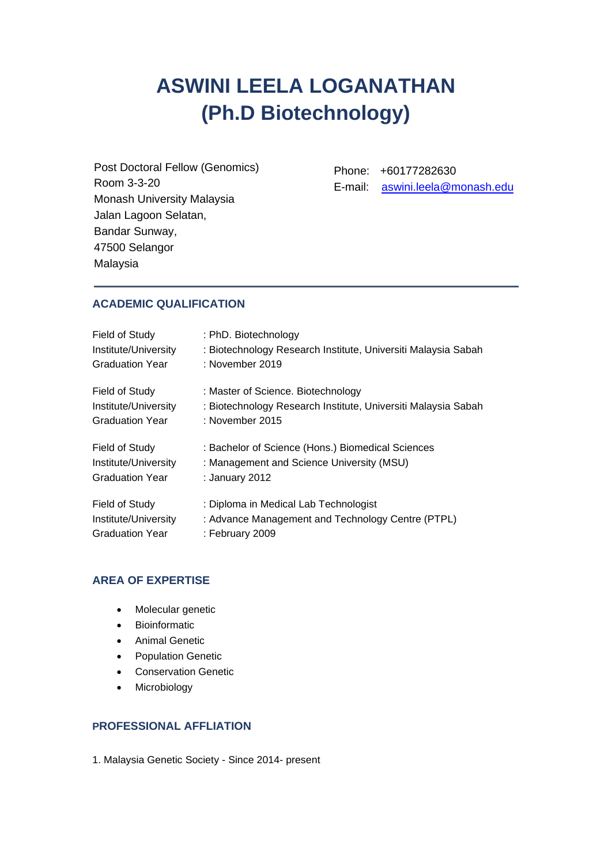# **ASWINI LEELA LOGANATHAN (Ph.D Biotechnology)**

Post Doctoral Fellow (Genomics) Room 3-3-20 Monash University Malaysia Jalan Lagoon Selatan, Bandar Sunway, 47500 Selangor Malaysia

Phone: +60177282630 E-mail: [aswini.leela@monash.edu](mailto:aswini.leela@monash.edu)

# **ACADEMIC QUALIFICATION**

| Field of Study         | : PhD. Biotechnology                                          |
|------------------------|---------------------------------------------------------------|
| Institute/University   | : Biotechnology Research Institute, Universiti Malaysia Sabah |
| <b>Graduation Year</b> | : November 2019                                               |
| Field of Study         | : Master of Science. Biotechnology                            |
| Institute/University   | : Biotechnology Research Institute, Universiti Malaysia Sabah |
| <b>Graduation Year</b> | : November 2015                                               |
| Field of Study         | : Bachelor of Science (Hons.) Biomedical Sciences             |
| Institute/University   | : Management and Science University (MSU)                     |
| <b>Graduation Year</b> | : January 2012                                                |
| Field of Study         | : Diploma in Medical Lab Technologist                         |
| Institute/University   | : Advance Management and Technology Centre (PTPL)             |
| <b>Graduation Year</b> | : February 2009                                               |

## **AREA OF EXPERTISE**

- Molecular genetic
- Bioinformatic
- Animal Genetic
- Population Genetic
- Conservation Genetic
- Microbiology

## **PROFESSIONAL AFFLIATION**

1. Malaysia Genetic Society - Since 2014- present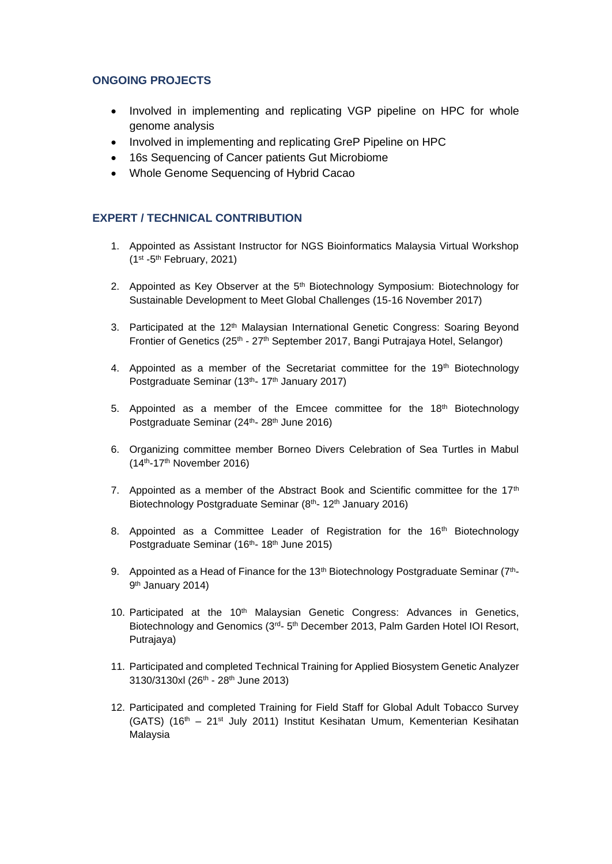## **ONGOING PROJECTS**

- Involved in implementing and replicating VGP pipeline on HPC for whole genome analysis
- Involved in implementing and replicating GreP Pipeline on HPC
- 16s Sequencing of Cancer patients Gut Microbiome
- Whole Genome Sequencing of Hybrid Cacao

# **EXPERT / TECHNICAL CONTRIBUTION**

- 1. Appointed as Assistant Instructor for NGS Bioinformatics Malaysia Virtual Workshop  $(1<sup>st</sup> - 5<sup>th</sup>$  February, 2021)
- 2. Appointed as Key Observer at the 5<sup>th</sup> Biotechnology Symposium: Biotechnology for Sustainable Development to Meet Global Challenges (15-16 November 2017)
- 3. Participated at the 12<sup>th</sup> Malaysian International Genetic Congress: Soaring Beyond Frontier of Genetics (25<sup>th</sup> - 27<sup>th</sup> September 2017, Bangi Putrajaya Hotel, Selangor)
- 4. Appointed as a member of the Secretariat committee for the  $19<sup>th</sup>$  Biotechnology Postgraduate Seminar (13<sup>th</sup>- 17<sup>th</sup> January 2017)
- 5. Appointed as a member of the Emcee committee for the  $18<sup>th</sup>$  Biotechnology Postgraduate Seminar (24<sup>th</sup>- 28<sup>th</sup> June 2016)
- 6. Organizing committee member Borneo Divers Celebration of Sea Turtles in Mabul (14th-17th November 2016)
- 7. Appointed as a member of the Abstract Book and Scientific committee for the 17<sup>th</sup> Biotechnology Postgraduate Seminar (8<sup>th</sup>- 12<sup>th</sup> January 2016)
- 8. Appointed as a Committee Leader of Registration for the  $16<sup>th</sup>$  Biotechnology Postgraduate Seminar (16<sup>th</sup>- 18<sup>th</sup> June 2015)
- 9. Appointed as a Head of Finance for the 13<sup>th</sup> Biotechnology Postgraduate Seminar (7<sup>th</sup>-9<sup>th</sup> January 2014)
- 10. Participated at the 10<sup>th</sup> Malaysian Genetic Congress: Advances in Genetics, Biotechnology and Genomics (3<sup>rd</sup>- 5<sup>th</sup> December 2013, Palm Garden Hotel IOI Resort, Putrajaya)
- 11. Participated and completed Technical Training for Applied Biosystem Genetic Analyzer 3130/3130xl (26th - 28th June 2013)
- 12. Participated and completed Training for Field Staff for Global Adult Tobacco Survey (GATS) (16<sup>th</sup> – 21<sup>st</sup> July 2011) Institut Kesihatan Umum, Kementerian Kesihatan Malaysia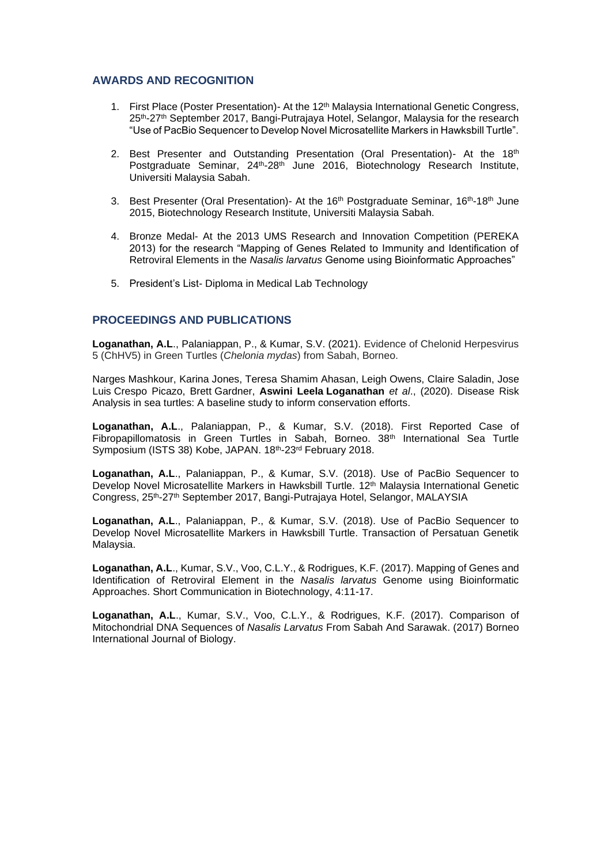#### **AWARDS AND RECOGNITION**

- 1. First Place (Poster Presentation)- At the 12th Malaysia International Genetic Congress, 25th-27th September 2017, Bangi-Putrajaya Hotel, Selangor, Malaysia for the research "Use of PacBio Sequencer to Develop Novel Microsatellite Markers in Hawksbill Turtle".
- 2. Best Presenter and Outstanding Presentation (Oral Presentation)- At the 18th Postgraduate Seminar, 24<sup>th</sup>-28<sup>th</sup> June 2016, Biotechnology Research Institute, Universiti Malaysia Sabah.
- 3. Best Presenter (Oral Presentation)- At the  $16<sup>th</sup>$  Postgraduate Seminar,  $16<sup>th</sup>$ -18<sup>th</sup> June 2015, Biotechnology Research Institute, Universiti Malaysia Sabah.
- 4. Bronze Medal- At the 2013 UMS Research and Innovation Competition (PEREKA 2013) for the research "Mapping of Genes Related to Immunity and Identification of Retroviral Elements in the *Nasalis larvatus* Genome using Bioinformatic Approaches"
- 5. President's List- Diploma in Medical Lab Technology

#### **PROCEEDINGS AND PUBLICATIONS**

**Loganathan, A.L**., Palaniappan, P., & Kumar, S.V. (2021). Evidence of Chelonid Herpesvirus 5 (ChHV5) in Green Turtles (*Chelonia mydas*) from Sabah, Borneo.

Narges Mashkour, Karina Jones, Teresa Shamim Ahasan, Leigh Owens, Claire Saladin, Jose Luis Crespo Picazo, Brett Gardner, **Aswini Leela Loganathan** *et al*., (2020). Disease Risk Analysis in sea turtles: A baseline study to inform conservation efforts.

**Loganathan, A.L**., Palaniappan, P., & Kumar, S.V. (2018). First Reported Case of Fibropapillomatosis in Green Turtles in Sabah, Borneo.  $38<sup>th</sup>$  International Sea Turtle Symposium (ISTS 38) Kobe, JAPAN. 18th-23rd February 2018.

**Loganathan, A.L**., Palaniappan, P., & Kumar, S.V. (2018). Use of PacBio Sequencer to Develop Novel Microsatellite Markers in Hawksbill Turtle. 12<sup>th</sup> Malaysia International Genetic Congress, 25<sup>th</sup>-27<sup>th</sup> September 2017, Bangi-Putrajaya Hotel, Selangor, MALAYSIA

**Loganathan, A.L**., Palaniappan, P., & Kumar, S.V. (2018). Use of PacBio Sequencer to Develop Novel Microsatellite Markers in Hawksbill Turtle. Transaction of Persatuan Genetik Malaysia.

**Loganathan, A.L**., Kumar, S.V., Voo, C.L.Y., & Rodrigues, K.F. (2017). Mapping of Genes and Identification of Retroviral Element in the *Nasalis larvatus* Genome using Bioinformatic Approaches. Short Communication in Biotechnology, 4:11-17.

**Loganathan, A.L**., Kumar, S.V., Voo, C.L.Y., & Rodrigues, K.F. (2017). Comparison of Mitochondrial DNA Sequences of *Nasalis Larvatus* From Sabah And Sarawak. (2017) Borneo International Journal of Biology.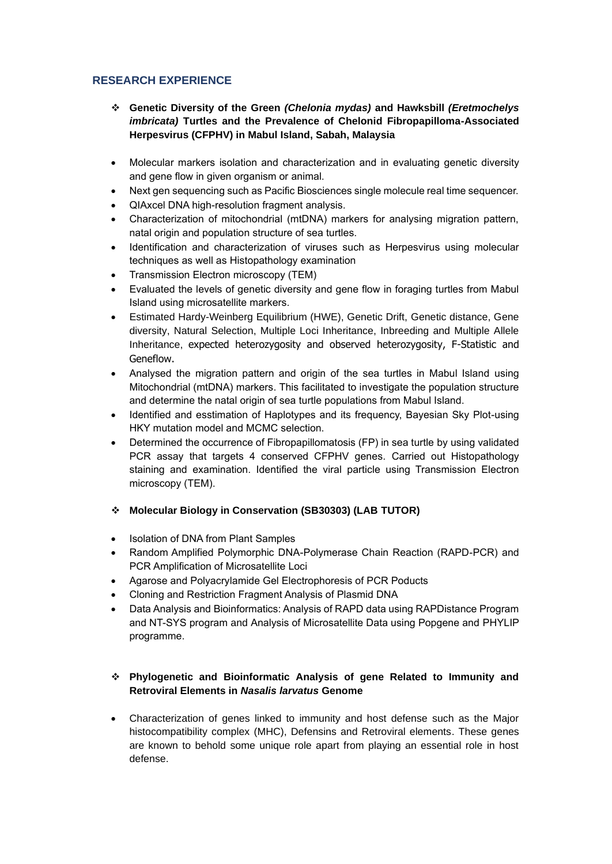# **RESEARCH EXPERIENCE**

- ❖ **Genetic Diversity of the Green** *(Chelonia mydas)* **and Hawksbill** *(Eretmochelys imbricata)* **Turtles and the Prevalence of Chelonid Fibropapilloma-Associated Herpesvirus (CFPHV) in Mabul Island, Sabah, Malaysia**
- Molecular markers isolation and characterization and in evaluating genetic diversity and gene flow in given organism or animal.
- Next gen sequencing such as Pacific Biosciences single molecule real time sequencer.
- QIAxcel DNA high-resolution fragment analysis.
- Characterization of mitochondrial (mtDNA) markers for analysing migration pattern, natal origin and population structure of sea turtles.
- Identification and characterization of viruses such as Herpesvirus using molecular techniques as well as Histopathology examination
- Transmission Electron microscopy (TEM)
- Evaluated the levels of genetic diversity and gene flow in foraging turtles from Mabul Island using microsatellite markers.
- Estimated Hardy-Weinberg Equilibrium (HWE), Genetic Drift, Genetic distance, Gene diversity, Natural Selection, Multiple Loci Inheritance, Inbreeding and Multiple Allele Inheritance, expected heterozygosity and observed heterozygosity, F-Statistic and Geneflow.
- Analysed the migration pattern and origin of the sea turtles in Mabul Island using Mitochondrial (mtDNA) markers. This facilitated to investigate the population structure and determine the natal origin of sea turtle populations from Mabul Island.
- Identified and esstimation of Haplotypes and its frequency, Bayesian Sky Plot-using HKY mutation model and MCMC selection.
- Determined the occurrence of Fibropapillomatosis (FP) in sea turtle by using validated PCR assay that targets 4 conserved CFPHV genes. Carried out Histopathology staining and examination. Identified the viral particle using Transmission Electron microscopy (TEM).
- ❖ **Molecular Biology in Conservation (SB30303) (LAB TUTOR)**
- Isolation of DNA from Plant Samples
- Random Amplified Polymorphic DNA-Polymerase Chain Reaction (RAPD-PCR) and PCR Amplification of Microsatellite Loci
- Agarose and Polyacrylamide Gel Electrophoresis of PCR Poducts
- Cloning and Restriction Fragment Analysis of Plasmid DNA
- Data Analysis and Bioinformatics: Analysis of RAPD data using RAPDistance Program and NT-SYS program and Analysis of Microsatellite Data using Popgene and PHYLIP programme.

## ❖ **Phylogenetic and Bioinformatic Analysis of gene Related to Immunity and Retroviral Elements in** *Nasalis larvatus* **Genome**

• Characterization of genes linked to immunity and host defense such as the Major histocompatibility complex (MHC), Defensins and Retroviral elements. These genes are known to behold some unique role apart from playing an essential role in host defense.